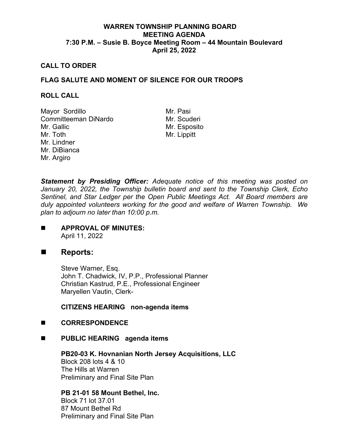## **WARREN TOWNSHIP PLANNING BOARD MEETING AGENDA 7:30 P.M. – Susie B. Boyce Meeting Room – 44 Mountain Boulevard April 25, 2022**

#### **CALL TO ORDER**

## **FLAG SALUTE AND MOMENT OF SILENCE FOR OUR TROOPS**

#### **ROLL CALL**

Mayor Sordillo Mr. Pasi Committeeman DiNardo Mr. Gallic Mr. Toth Mr. Lindner Mr. DiBianca Mr. Argiro

Mr. Esposito Mr. Lippitt

*Statement by Presiding Officer: Adequate notice of this meeting was posted on January 20, 2022, the Township bulletin board and sent to the Township Clerk, Echo Sentinel, and Star Ledger per the Open Public Meetings Act. All Board members are duly appointed volunteers working for the good and welfare of Warren Township. We plan to adjourn no later than 10:00 p.m.*

**APPROVAL OF MINUTES:** April 11, 2022

## ■ Reports:

Steve Warner, Esq. John T. Chadwick, IV, P.P., Professional Planner Christian Kastrud, P.E., Professional Engineer Maryellen Vautin, Clerk-

**CITIZENS HEARING non-agenda items**

### **CORRESPONDENCE**

**PUBLIC HEARING agenda items**

**PB20-03 K. Hovnanian North Jersey Acquisitions, LLC** Block 208 lots 4 & 10 The Hills at Warren Preliminary and Final Site Plan

**PB 21-01 58 Mount Bethel, Inc.**

Block 71 lot 37.01 87 Mount Bethel Rd Preliminary and Final Site Plan